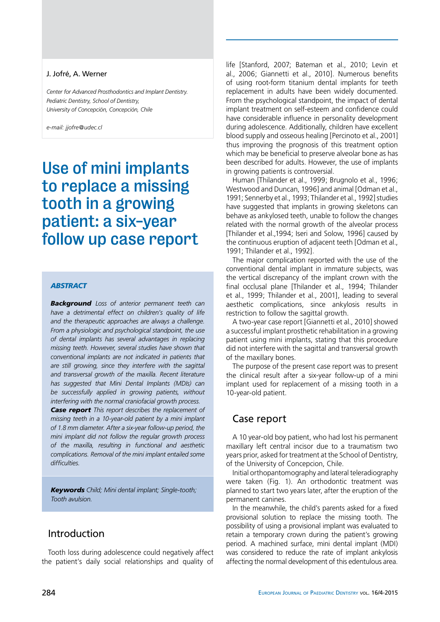#### J. Jofré, A. Werner

*Center for Advanced Prosthodontics and Implant Dentistry. Pediatric Dentistry, School of Dentistry, University of Concepción, Concepción, Chile*

*e-mail: jjofre@udec.cl*

# Use of mini implants to replace a missing tooth in a growing patient: a six-year follow up case report

#### *abstract*

*Background Loss of anterior permanent teeth can have a detrimental effect on children's quality of life and the therapeutic approaches are always a challenge. From a physiologic and psychological standpoint, the use of dental implants has several advantages in replacing missing teeth. However, several studies have shown that conventional implants are not indicated in patients that are still growing, since they interfere with the sagittal and transversal growth of the maxilla. Recent literature has suggested that Mini Dental Implants (MDIs) can be successfully applied in growing patients, without interfering with the normal craniofacial growth process.*

*Case report This report describes the replacement of missing teeth in a 10-year-old patient by a mini implant of 1.8 mm diameter. After a six-year follow-up period, the mini implant did not follow the regular growth process of the maxilla, resulting in functional and aesthetic complications. Removal of the mini implant entailed some difficulties.* 

*Keywords Child; Mini dental implant; Single-tooth; Tooth avulsion.*

#### Introduction

Tooth loss during adolescence could negatively affect the patient's daily social relationships and quality of life [Stanford, 2007; Bateman et al., 2010; Levin et al., 2006; Giannetti et al., 2010]. Numerous benefits of using root-form titanium dental implants for teeth replacement in adults have been widely documented. From the psychological standpoint, the impact of dental implant treatment on self-esteem and confidence could have considerable influence in personality development during adolescence. Additionally, children have excellent blood supply and osseous healing [Percinoto et al., 2001] thus improving the prognosis of this treatment option which may be beneficial to preserve alveolar bone as has been described for adults. However, the use of implants in growing patients is controversial.

Human [Thilander et al., 1999; Brugnolo et al., 1996; Westwood and Duncan, 1996] and animal [Odman et al., 1991; Sennerby et al., 1993; Thilander et al., 1992] studies have suggested that implants in growing skeletons can behave as ankylosed teeth, unable to follow the changes related with the normal growth of the alveolar process [Thilander et al.,1994; Iseri and Solow, 1996] caused by the continuous eruption of adjacent teeth [Odman et al., 1991; Thilander et al., 1992].

The major complication reported with the use of the conventional dental implant in immature subjects, was the vertical discrepancy of the implant crown with the final occlusal plane [Thilander et al., 1994; Thilander et al., 1999; Thilander et al., 2001], leading to several aesthetic complications, since ankylosis results in restriction to follow the sagittal growth.

A two-year case report [Giannetti et al., 2010] showed a successful implant prosthetic rehabilitation in a growing patient using mini implants, stating that this procedure did not interfere with the sagittal and transversal growth of the maxillary bones.

The purpose of the present case report was to present the clinical result after a six-year follow-up of a mini implant used for replacement of a missing tooth in a 10-year-old patient.

### Case report

A 10 year-old boy patient, who had lost his permanent maxillary left central incisor due to a traumatism two years prior, asked for treatment at the School of Dentistry, of the University of Concepcion, Chile.

Initial orthopantomography and lateral teleradiography were taken (Fig. 1). An orthodontic treatment was planned to start two years later, after the eruption of the permanent canines.

In the meanwhile, the child's parents asked for a fixed provisional solution to replace the missing tooth. The possibility of using a provisional implant was evaluated to retain a temporary crown during the patient's growing period. A machined surface, mini dental implant (MDI) was considered to reduce the rate of implant ankylosis affecting the normal development of this edentulous area.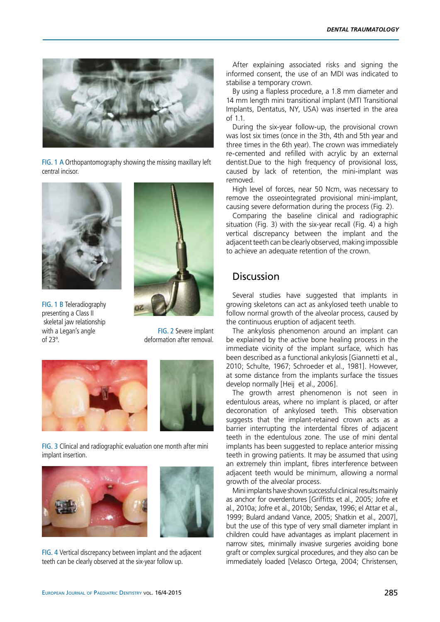

fig. 1 A Orthopantomography showing the missing maxillary left central incisor.



fig. 1 B Teleradiography presenting a Class II skeletal jaw relationship with a Legan's angle of 23º.



FIG. 2 Severe implant deformation after removal.





fig. 3 Clinical and radiographic evaluation one month after mini implant insertion.





fig. 4 Vertical discrepancy between implant and the adjacent teeth can be clearly observed at the six-year follow up.

After explaining associated risks and signing the informed consent, the use of an MDI was indicated to stabilise a temporary crown.

By using a flapless procedure, a 1.8 mm diameter and 14 mm length mini transitional implant (MTI Transitional Implants, Dentatus, NY, USA) was inserted in the area of 1.1.

During the six-year follow-up, the provisional crown was lost six times (once in the 3th, 4th and 5th year and three times in the 6th year). The crown was immediately re-cemented and refilled with acrylic by an external dentist.Due to the high frequency of provisional loss, caused by lack of retention, the mini-implant was removed.

High level of forces, near 50 Ncm, was necessary to remove the osseointegrated provisional mini-implant, causing severe deformation during the process (Fig. 2).

Comparing the baseline clinical and radiographic situation (Fig. 3) with the six-year recall (Fig. 4) a high vertical discrepancy between the implant and the adjacent teeth can be clearly observed, making impossible to achieve an adequate retention of the crown.

## **Discussion**

Several studies have suggested that implants in growing skeletons can act as ankylosed teeth unable to follow normal growth of the alveolar process, caused by the continuous eruption of adjacent teeth.

The ankylosis phenomenon around an implant can be explained by the active bone healing process in the immediate vicinity of the implant surface, which has been described as a functional ankylosis [Giannetti et al., 2010; Schulte, 1967; Schroeder et al., 1981]. However, at some distance from the implants surface the tissues develop normally [Heij et al., 2006].

The growth arrest phenomenon is not seen in edentulous areas, where no implant is placed, or after decoronation of ankylosed teeth. This observation suggests that the implant-retained crown acts as a barrier interrupting the interdental fibres of adjacent teeth in the edentulous zone. The use of mini dental implants has been suggested to replace anterior missing teeth in growing patients. It may be assumed that using an extremely thin implant, fibres interference between adjacent teeth would be minimum, allowing a normal growth of the alveolar process.

Mini implants have shown successful clinical results mainly as anchor for overdentures [Griffitts et al., 2005; Jofre et al., 2010a; Jofre et al., 2010b; Sendax, 1996; el Attar et al., 1999; Bulard andand Vance, 2005; Shatkin et al., 2007], but the use of this type of very small diameter implant in children could have advantages as implant placement in narrow sites, minimally invasive surgeries avoiding bone graft or complex surgical procedures, and they also can be immediately loaded [Velasco Ortega, 2004; Christensen,